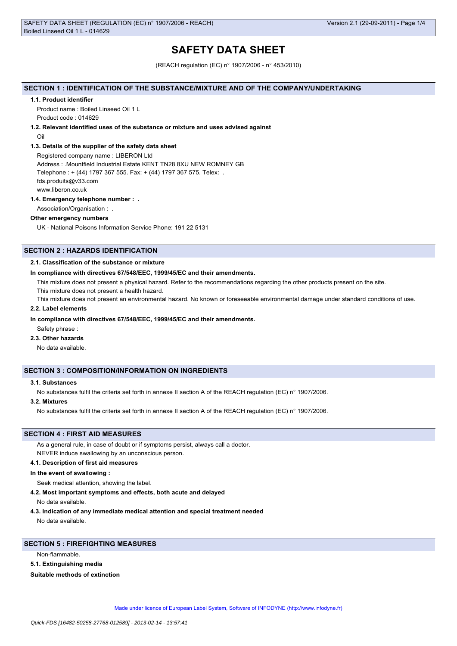# **SAFETY DATA SHEET**

(REACH regulation (EC) n° 1907/2006 - n° 453/2010)

## **SECTION 1 : IDENTIFICATION OF THE SUBSTANCE/MIXTURE AND OF THE COMPANY/UNDERTAKING**

#### **1.1. Product identifier**

Product name : Boiled Linseed Oil 1 L Product code : 014629

## **1.2. Relevant identified uses of the substance or mixture and uses advised against**

Oil

## **1.3. Details of the supplier of the safety data sheet**

Registered company name : LIBERON Ltd Address : .Mountfield Industrial Estate KENT TN28 8XU NEW ROMNEY GB Telephone : + (44) 1797 367 555. Fax: + (44) 1797 367 575. Telex: . fds.produits@v33.com www.liberon.co.uk

#### **1.4. Emergency telephone number : .**

Association/Organisation : .

# **Other emergency numbers**

UK - National Poisons Information Service Phone: 191 22 5131

# **SECTION 2 : HAZARDS IDENTIFICATION**

## **2.1. Classification of the substance or mixture**

#### **In compliance with directives 67/548/EEC, 1999/45/EC and their amendments.**

This mixture does not present a physical hazard. Refer to the recommendations regarding the other products present on the site.

This mixture does not present a health hazard.

This mixture does not present an environmental hazard. No known or foreseeable environmental damage under standard conditions of use.

## **2.2. Label elements**

## **In compliance with directives 67/548/EEC, 1999/45/EC and their amendments.**

Safety phrase :

# **2.3. Other hazards**

No data available.

## **SECTION 3 : COMPOSITION/INFORMATION ON INGREDIENTS**

## **3.1. Substances**

No substances fulfil the criteria set forth in annexe II section A of the REACH regulation (EC) n° 1907/2006.

#### **3.2. Mixtures**

No substances fulfil the criteria set forth in annexe II section A of the REACH regulation (EC) n° 1907/2006.

## **SECTION 4 : FIRST AID MEASURES**

As a general rule, in case of doubt or if symptoms persist, always call a doctor.

NEVER induce swallowing by an unconscious person.

# **4.1. Description of first aid measures**

**In the event of swallowing :**

Seek medical attention, showing the label.

**4.2. Most important symptoms and effects, both acute and delayed**

No data available.

**4.3. Indication of any immediate medical attention and special treatment needed** No data available.

# **SECTION 5 : FIREFIGHTING MEASURES**

Non-flammable.

#### **5.1. Extinguishing media**

**Suitable methods of extinction**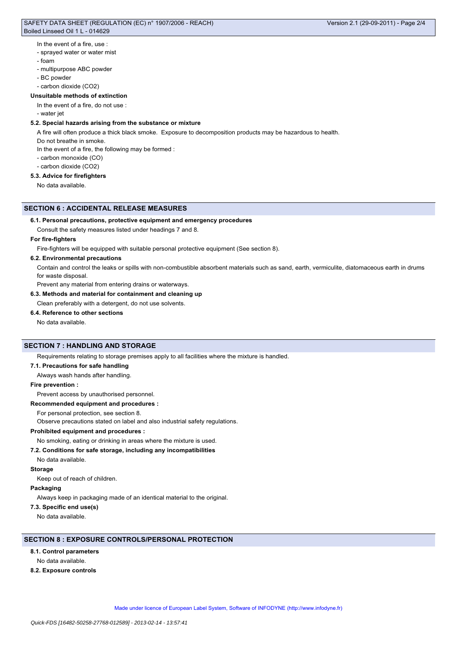# SAFETY DATA SHEET (REGULATION (EC) n° 1907/2006 - REACH) Boiled Linseed Oil 1 L - 014629

## In the event of a fire, use :

- sprayed water or water mist
- foam
- multipurpose ABC powder
- BC powder
- carbon dioxide (CO2)

# **Unsuitable methods of extinction**

- In the event of a fire, do not use :
- water jet

# **5.2. Special hazards arising from the substance or mixture**

A fire will often produce a thick black smoke. Exposure to decomposition products may be hazardous to health.

- Do not breathe in smoke.
- In the event of a fire, the following may be formed :
- carbon monoxide (CO)
- carbon dioxide (CO2)

# **5.3. Advice for firefighters**

No data available.

#### **SECTION 6 : ACCIDENTAL RELEASE MEASURES**

#### **6.1. Personal precautions, protective equipment and emergency procedures**

Consult the safety measures listed under headings 7 and 8.

#### **For fire-fighters**

Fire-fighters will be equipped with suitable personal protective equipment (See section 8).

## **6.2. Environmental precautions**

Contain and control the leaks or spills with non-combustible absorbent materials such as sand, earth, vermiculite, diatomaceous earth in drums for waste disposal.

Prevent any material from entering drains or waterways.

**6.3. Methods and material for containment and cleaning up**

## Clean preferably with a detergent, do not use solvents.

## **6.4. Reference to other sections**

No data available.

# **SECTION 7 : HANDLING AND STORAGE**

Requirements relating to storage premises apply to all facilities where the mixture is handled.

#### **7.1. Precautions for safe handling**

Always wash hands after handling.

## **Fire prevention :**

Prevent access by unauthorised personnel.

## **Recommended equipment and procedures :**

For personal protection, see section 8.

Observe precautions stated on label and also industrial safety regulations.

# **Prohibited equipment and procedures :**

No smoking, eating or drinking in areas where the mixture is used.

#### **7.2. Conditions for safe storage, including any incompatibilities**

No data available.

#### **Storage**

Keep out of reach of children.

#### **Packaging**

Always keep in packaging made of an identical material to the original.

# **7.3. Specific end use(s)**

No data available.

# **SECTION 8 : EXPOSURE CONTROLS/PERSONAL PROTECTION**

## **8.1. Control parameters**

No data available.

**8.2. Exposure controls**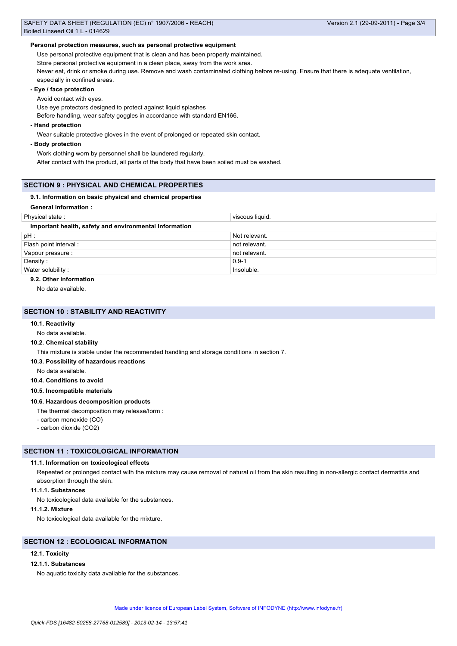## **Personal protection measures, such as personal protective equipment**

Use personal protective equipment that is clean and has been properly maintained.

Store personal protective equipment in a clean place, away from the work area.

Never eat, drink or smoke during use. Remove and wash contaminated clothing before re-using. Ensure that there is adequate ventilation, especially in confined areas.

# **- Eye / face protection**

Avoid contact with eyes.

Use eye protectors designed to protect against liquid splashes

Before handling, wear safety goggles in accordance with standard EN166.

# **- Hand protection**

Wear suitable protective gloves in the event of prolonged or repeated skin contact.

## **- Body protection**

Work clothing worn by personnel shall be laundered regularly.

After contact with the product, all parts of the body that have been soiled must be washed.

## **SECTION 9 : PHYSICAL AND CHEMICAL PROPERTIES**

#### **9.1. Information on basic physical and chemical properties**

# **General information :**

| Physical state:                                        | viscous liquid. |
|--------------------------------------------------------|-----------------|
| Important health, safety and environmental information |                 |
| $pH$ :                                                 | Not relevant.   |
| Flash point interval :                                 | not relevant.   |
| Vapour pressure :                                      | not relevant.   |
| Density:                                               | $0.9 - 1$       |
| Water solubility:                                      | Insoluble.      |

#### **9.2. Other information**

No data available.

## **SECTION 10 : STABILITY AND REACTIVITY**

#### **10.1. Reactivity**

No data available.

#### **10.2. Chemical stability**

This mixture is stable under the recommended handling and storage conditions in section 7.

**10.3. Possibility of hazardous reactions**

No data available.

**10.4. Conditions to avoid**

**10.5. Incompatible materials**

#### **10.6. Hazardous decomposition products**

The thermal decomposition may release/form :

- carbon monoxide (CO)

- carbon dioxide (CO2)

# **SECTION 11 : TOXICOLOGICAL INFORMATION**

## **11.1. Information on toxicological effects**

Repeated or prolonged contact with the mixture may cause removal of natural oil from the skin resulting in non-allergic contact dermatitis and absorption through the skin.

# **11.1.1. Substances**

No toxicological data available for the substances.

## **11.1.2. Mixture**

No toxicological data available for the mixture.

# **SECTION 12 : ECOLOGICAL INFORMATION**

# **12.1. Toxicity**

# **12.1.1. Substances**

No aquatic toxicity data available for the substances.